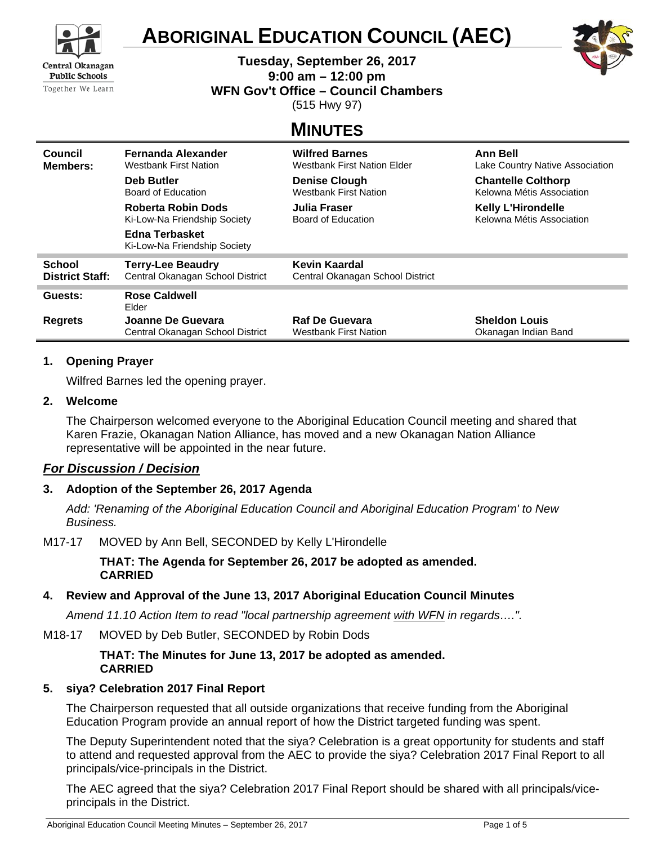

# **ABORIGINAL EDUCATION COUNCIL (AEC)**

**Tuesday, September 26, 2017** 

**9:00 am – 12:00 pm** 

**WFN Gov't Office – Council Chambers** 

(515 Hwy 97)

# **MINUTES**

| Council                | Fernanda Alexander                                    | <b>Wilfred Barnes</b>              | <b>Ann Bell</b>                 |
|------------------------|-------------------------------------------------------|------------------------------------|---------------------------------|
| Members:               | <b>Westbank First Nation</b>                          | <b>Westbank First Nation Elder</b> | Lake Country Native Association |
|                        | <b>Deb Butler</b>                                     | <b>Denise Clough</b>               | <b>Chantelle Colthorp</b>       |
|                        | Board of Education                                    | <b>Westbank First Nation</b>       | Kelowna Métis Association       |
|                        | Roberta Robin Dods                                    | Julia Fraser                       | <b>Kelly L'Hirondelle</b>       |
|                        | Ki-Low-Na Friendship Society                          | Board of Education                 | Kelowna Métis Association       |
|                        | <b>Edna Terbasket</b><br>Ki-Low-Na Friendship Society |                                    |                                 |
| <b>School</b>          | <b>Terry-Lee Beaudry</b>                              | Kevin Kaardal                      |                                 |
| <b>District Staff:</b> | Central Okanagan School District                      | Central Okanagan School District   |                                 |
| Guests:                | Rose Caldwell<br>Elder                                |                                    |                                 |
| <b>Regrets</b>         | Joanne De Guevara                                     | <b>Raf De Guevara</b>              | <b>Sheldon Louis</b>            |
|                        | Central Okanagan School District                      | <b>Westbank First Nation</b>       | Okanagan Indian Band            |

# **1. Opening Prayer**

Wilfred Barnes led the opening prayer.

#### **2. Welcome**

The Chairperson welcomed everyone to the Aboriginal Education Council meeting and shared that Karen Frazie, Okanagan Nation Alliance, has moved and a new Okanagan Nation Alliance representative will be appointed in the near future.

# *For Discussion / Decision*

# **3. Adoption of the September 26, 2017 Agenda**

*Add: 'Renaming of the Aboriginal Education Council and Aboriginal Education Program' to New Business.* 

M17-17 MOVED by Ann Bell, SECONDED by Kelly L'Hirondelle

**THAT: The Agenda for September 26, 2017 be adopted as amended. CARRIED**

# **4. Review and Approval of the June 13, 2017 Aboriginal Education Council Minutes**

*Amend 11.10 Action Item to read "local partnership agreement with WFN in regards….".* 

#### M18-17 MOVED by Deb Butler, SECONDED by Robin Dods

**THAT: The Minutes for June 13, 2017 be adopted as amended. CARRIED**

# **5. siya? Celebration 2017 Final Report**

The Chairperson requested that all outside organizations that receive funding from the Aboriginal Education Program provide an annual report of how the District targeted funding was spent.

The Deputy Superintendent noted that the siya? Celebration is a great opportunity for students and staff to attend and requested approval from the AEC to provide the siya? Celebration 2017 Final Report to all principals/vice-principals in the District.

The AEC agreed that the siya? Celebration 2017 Final Report should be shared with all principals/viceprincipals in the District.

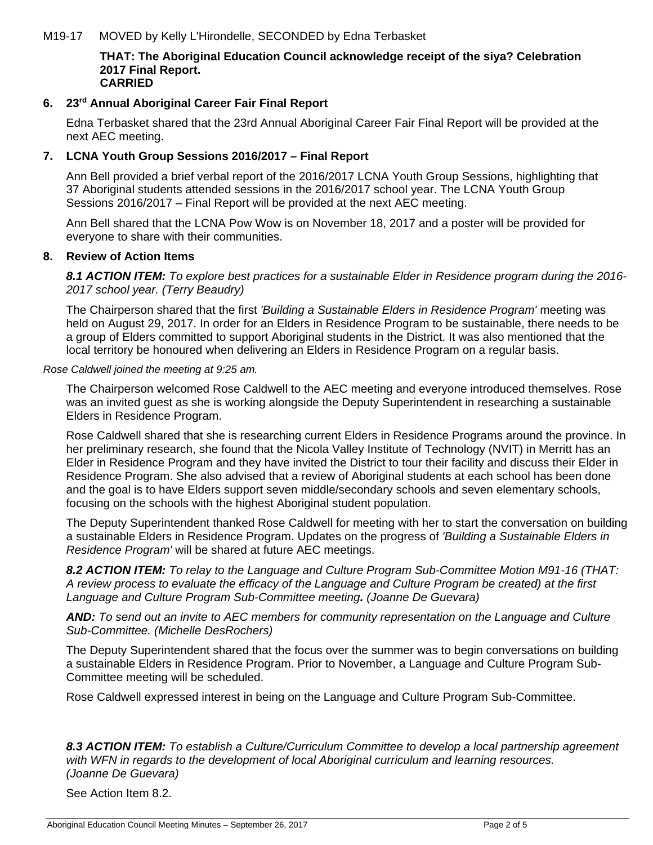# M19-17 MOVED by Kelly L'Hirondelle, SECONDED by Edna Terbasket

#### **THAT: The Aboriginal Education Council acknowledge receipt of the siya? Celebration 2017 Final Report. CARRIED**

# **6. 23rd Annual Aboriginal Career Fair Final Report**

Edna Terbasket shared that the 23rd Annual Aboriginal Career Fair Final Report will be provided at the next AEC meeting.

# **7. LCNA Youth Group Sessions 2016/2017 – Final Report**

Ann Bell provided a brief verbal report of the 2016/2017 LCNA Youth Group Sessions, highlighting that 37 Aboriginal students attended sessions in the 2016/2017 school year. The LCNA Youth Group Sessions 2016/2017 – Final Report will be provided at the next AEC meeting.

Ann Bell shared that the LCNA Pow Wow is on November 18, 2017 and a poster will be provided for everyone to share with their communities.

#### **8. Review of Action Items**

*8.1 ACTION ITEM: To explore best practices for a sustainable Elder in Residence program during the 2016- 2017 school year. (Terry Beaudry)* 

The Chairperson shared that the first *'Building a Sustainable Elders in Residence Program'* meeting was held on August 29, 2017. In order for an Elders in Residence Program to be sustainable, there needs to be a group of Elders committed to support Aboriginal students in the District. It was also mentioned that the local territory be honoured when delivering an Elders in Residence Program on a regular basis.

#### *Rose Caldwell joined the meeting at 9:25 am.*

The Chairperson welcomed Rose Caldwell to the AEC meeting and everyone introduced themselves. Rose was an invited guest as she is working alongside the Deputy Superintendent in researching a sustainable Elders in Residence Program.

Rose Caldwell shared that she is researching current Elders in Residence Programs around the province. In her preliminary research, she found that the Nicola Valley Institute of Technology (NVIT) in Merritt has an Elder in Residence Program and they have invited the District to tour their facility and discuss their Elder in Residence Program. She also advised that a review of Aboriginal students at each school has been done and the goal is to have Elders support seven middle/secondary schools and seven elementary schools, focusing on the schools with the highest Aboriginal student population.

The Deputy Superintendent thanked Rose Caldwell for meeting with her to start the conversation on building a sustainable Elders in Residence Program. Updates on the progress of *'Building a Sustainable Elders in Residence Program'* will be shared at future AEC meetings.

*8.2 ACTION ITEM: To relay to the Language and Culture Program Sub-Committee Motion M91-16 (THAT: A review process to evaluate the efficacy of the Language and Culture Program be created) at the first Language and Culture Program Sub-Committee meeting. (Joanne De Guevara)* 

*AND: To send out an invite to AEC members for community representation on the Language and Culture Sub-Committee. (Michelle DesRochers)* 

The Deputy Superintendent shared that the focus over the summer was to begin conversations on building a sustainable Elders in Residence Program. Prior to November, a Language and Culture Program Sub-Committee meeting will be scheduled.

Rose Caldwell expressed interest in being on the Language and Culture Program Sub-Committee.

*8.3 ACTION ITEM: To establish a Culture/Curriculum Committee to develop a local partnership agreement with WFN in regards to the development of local Aboriginal curriculum and learning resources. (Joanne De Guevara)* 

See Action Item 8.2.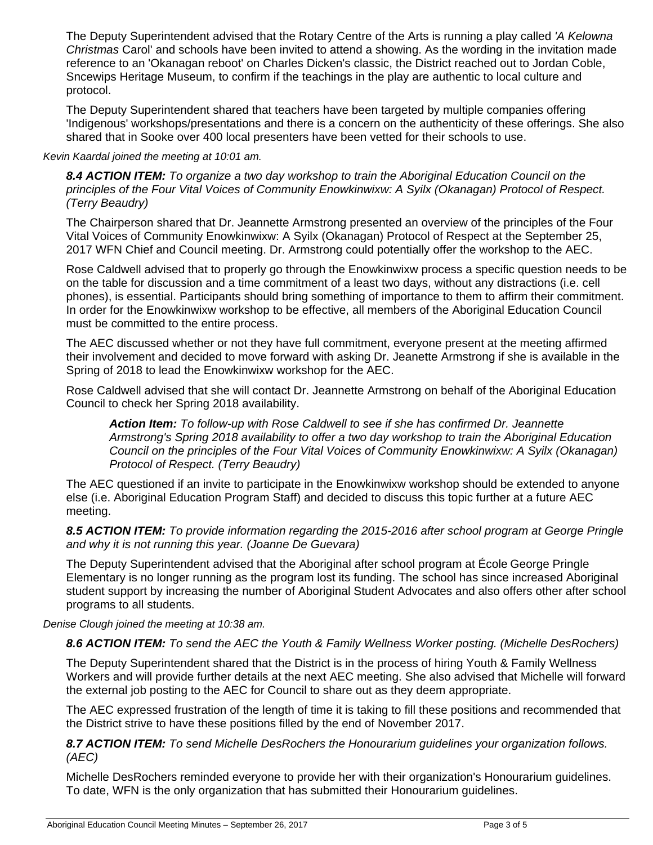The Deputy Superintendent advised that the Rotary Centre of the Arts is running a play called *'A Kelowna Christmas* Carol' and schools have been invited to attend a showing. As the wording in the invitation made reference to an 'Okanagan reboot' on Charles Dicken's classic, the District reached out to Jordan Coble, Sncewips Heritage Museum, to confirm if the teachings in the play are authentic to local culture and protocol.

The Deputy Superintendent shared that teachers have been targeted by multiple companies offering 'Indigenous' workshops/presentations and there is a concern on the authenticity of these offerings. She also shared that in Sooke over 400 local presenters have been vetted for their schools to use.

#### *Kevin Kaardal joined the meeting at 10:01 am.*

*8.4 ACTION ITEM: To organize a two day workshop to train the Aboriginal Education Council on the principles of the Four Vital Voices of Community Enowkinwixw: A Syilx (Okanagan) Protocol of Respect. (Terry Beaudry)* 

The Chairperson shared that Dr. Jeannette Armstrong presented an overview of the principles of the Four Vital Voices of Community Enowkinwixw: A Syilx (Okanagan) Protocol of Respect at the September 25, 2017 WFN Chief and Council meeting. Dr. Armstrong could potentially offer the workshop to the AEC.

Rose Caldwell advised that to properly go through the Enowkinwixw process a specific question needs to be on the table for discussion and a time commitment of a least two days, without any distractions (i.e. cell phones), is essential. Participants should bring something of importance to them to affirm their commitment. In order for the Enowkinwixw workshop to be effective, all members of the Aboriginal Education Council must be committed to the entire process.

The AEC discussed whether or not they have full commitment, everyone present at the meeting affirmed their involvement and decided to move forward with asking Dr. Jeanette Armstrong if she is available in the Spring of 2018 to lead the Enowkinwixw workshop for the AEC.

Rose Caldwell advised that she will contact Dr. Jeannette Armstrong on behalf of the Aboriginal Education Council to check her Spring 2018 availability.

*Action Item: To follow-up with Rose Caldwell to see if she has confirmed Dr. Jeannette Armstrong's Spring 2018 availability to offer a two day workshop to train the Aboriginal Education Council on the principles of the Four Vital Voices of Community Enowkinwixw: A Syilx (Okanagan) Protocol of Respect. (Terry Beaudry)* 

The AEC questioned if an invite to participate in the Enowkinwixw workshop should be extended to anyone else (i.e. Aboriginal Education Program Staff) and decided to discuss this topic further at a future AEC meeting.

*8.5 ACTION ITEM: To provide information regarding the 2015-2016 after school program at George Pringle and why it is not running this year. (Joanne De Guevara)* 

The Deputy Superintendent advised that the Aboriginal after school program at École George Pringle Elementary is no longer running as the program lost its funding. The school has since increased Aboriginal student support by increasing the number of Aboriginal Student Advocates and also offers other after school programs to all students.

*Denise Clough joined the meeting at 10:38 am.*

# *8.6 ACTION ITEM: To send the AEC the Youth & Family Wellness Worker posting. (Michelle DesRochers)*

The Deputy Superintendent shared that the District is in the process of hiring Youth & Family Wellness Workers and will provide further details at the next AEC meeting. She also advised that Michelle will forward the external job posting to the AEC for Council to share out as they deem appropriate.

The AEC expressed frustration of the length of time it is taking to fill these positions and recommended that the District strive to have these positions filled by the end of November 2017.

*8.7 ACTION ITEM: To send Michelle DesRochers the Honourarium guidelines your organization follows. (AEC)* 

Michelle DesRochers reminded everyone to provide her with their organization's Honourarium guidelines. To date, WFN is the only organization that has submitted their Honourarium guidelines.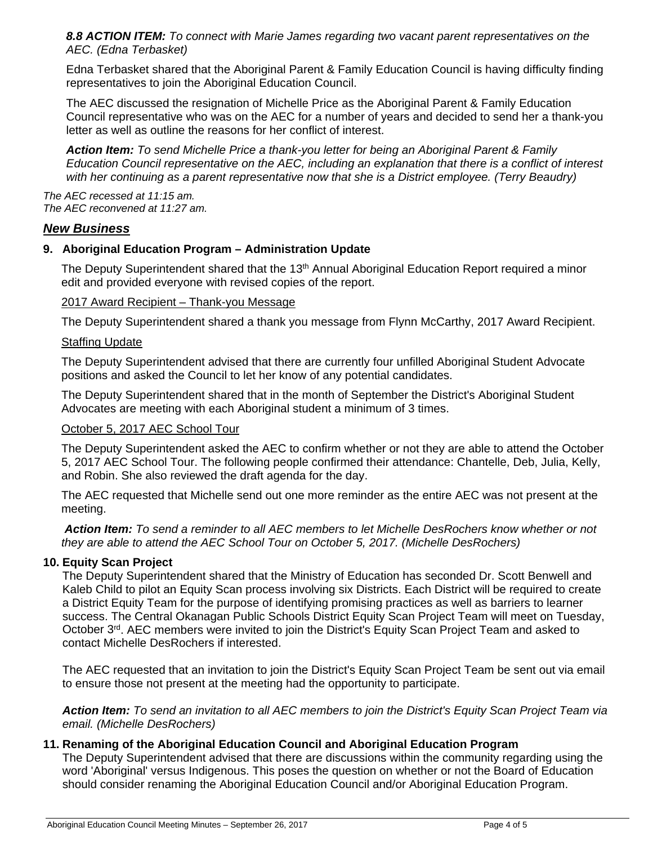*8.8 ACTION ITEM: To connect with Marie James regarding two vacant parent representatives on the AEC. (Edna Terbasket)* 

Edna Terbasket shared that the Aboriginal Parent & Family Education Council is having difficulty finding representatives to join the Aboriginal Education Council.

The AEC discussed the resignation of Michelle Price as the Aboriginal Parent & Family Education Council representative who was on the AEC for a number of years and decided to send her a thank-you letter as well as outline the reasons for her conflict of interest.

*Action Item: To send Michelle Price a thank-you letter for being an Aboriginal Parent & Family Education Council representative on the AEC, including an explanation that there is a conflict of interest*  with her continuing as a parent representative now that she is a District employee. (Terry Beaudry)

*The AEC recessed at 11:15 am. The AEC reconvened at 11:27 am.*

# *New Business*

# **9. Aboriginal Education Program – Administration Update**

The Deputy Superintendent shared that the 13<sup>th</sup> Annual Aboriginal Education Report required a minor edit and provided everyone with revised copies of the report.

# 2017 Award Recipient – Thank-you Message

The Deputy Superintendent shared a thank you message from Flynn McCarthy, 2017 Award Recipient.

# Staffing Update

The Deputy Superintendent advised that there are currently four unfilled Aboriginal Student Advocate positions and asked the Council to let her know of any potential candidates.

The Deputy Superintendent shared that in the month of September the District's Aboriginal Student Advocates are meeting with each Aboriginal student a minimum of 3 times.

# October 5, 2017 AEC School Tour

The Deputy Superintendent asked the AEC to confirm whether or not they are able to attend the October 5, 2017 AEC School Tour. The following people confirmed their attendance: Chantelle, Deb, Julia, Kelly, and Robin. She also reviewed the draft agenda for the day.

The AEC requested that Michelle send out one more reminder as the entire AEC was not present at the meeting.

*Action Item: To send a reminder to all AEC members to let Michelle DesRochers know whether or not they are able to attend the AEC School Tour on October 5, 2017. (Michelle DesRochers)* 

# **10. Equity Scan Project**

The Deputy Superintendent shared that the Ministry of Education has seconded Dr. Scott Benwell and Kaleb Child to pilot an Equity Scan process involving six Districts. Each District will be required to create a District Equity Team for the purpose of identifying promising practices as well as barriers to learner success. The Central Okanagan Public Schools District Equity Scan Project Team will meet on Tuesday, October 3<sup>rd</sup>. AEC members were invited to join the District's Equity Scan Project Team and asked to contact Michelle DesRochers if interested.

The AEC requested that an invitation to join the District's Equity Scan Project Team be sent out via email to ensure those not present at the meeting had the opportunity to participate.

*Action Item: To send an invitation to all AEC members to join the District's Equity Scan Project Team via email. (Michelle DesRochers)* 

# **11. Renaming of the Aboriginal Education Council and Aboriginal Education Program**

The Deputy Superintendent advised that there are discussions within the community regarding using the word 'Aboriginal' versus Indigenous. This poses the question on whether or not the Board of Education should consider renaming the Aboriginal Education Council and/or Aboriginal Education Program.